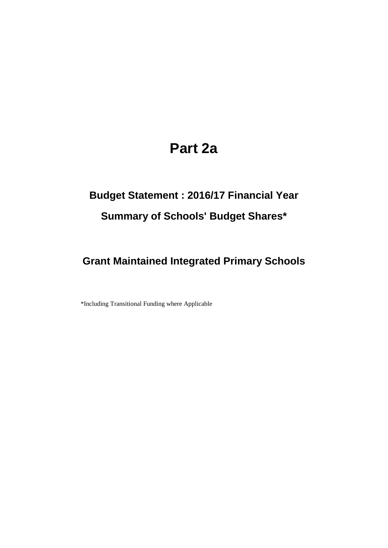## **Part 2a**

# **Budget Statement : 2016/17 Financial Year Summary of Schools' Budget Shares\***

#### **Grant Maintained Integrated Primary Schools**

\*Including Transitional Funding where Applicable